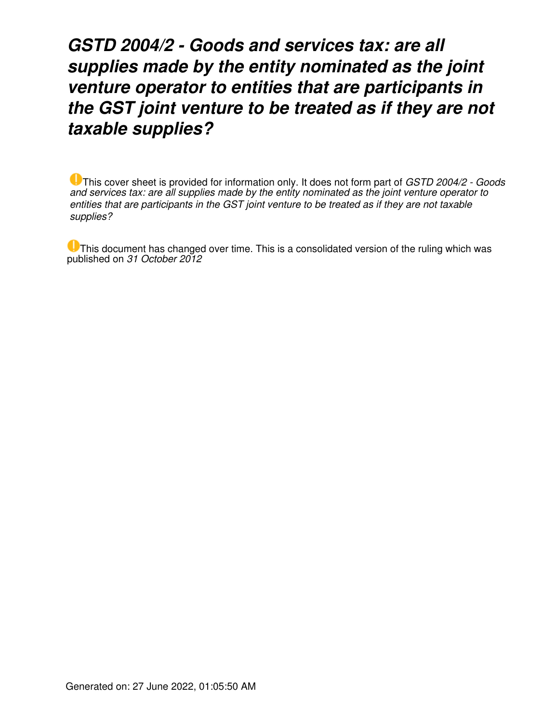# *GSTD 2004/2 - Goods and services tax: are all supplies made by the entity nominated as the joint venture operator to entities that are participants in the GST joint venture to be treated as if they are not taxable supplies?*

This cover sheet is provided for information only. It does not form part of *GSTD 2004/2 - Goods and services tax: are all supplies made by the entity nominated as the joint venture operator to entities that are participants in the GST joint venture to be treated as if they are not taxable supplies?*

This document has changed over time. This is a consolidated version of the ruling which was published on *31 October 2012*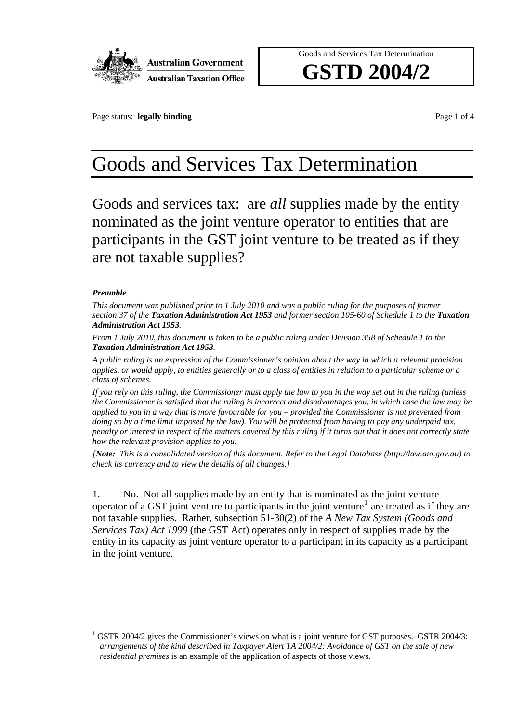

Goods and Services Tax Determination

**GSTD 2004/2** 

Page status: **legally binding** Page 1 of 4

# Goods and Services Tax Determination

Goods and services tax: are *all* supplies made by the entity nominated as the joint venture operator to entities that are participants in the GST joint venture to be treated as if they are not taxable supplies?

### *Preamble*

 $\overline{a}$ 

*This document was published prior to 1 July 2010 and was a public ruling for the purposes of former section 37 of the Taxation Administration Act 1953 and former section 105-60 of Schedule 1 to the Taxation Administration Act 1953.* 

*From 1 July 2010, this document is taken to be a public ruling under Division 358 of Schedule 1 to the Taxation Administration Act 1953.* 

*A public ruling is an expression of the Commissioner's opinion about the way in which a relevant provision applies, or would apply, to entities generally or to a class of entities in relation to a particular scheme or a class of schemes.* 

*If you rely on this ruling, the Commissioner must apply the law to you in the way set out in the ruling (unless the Commissioner is satisfied that the ruling is incorrect and disadvantages you, in which case the law may be applied to you in a way that is more favourable for you – provided the Commissioner is not prevented from doing so by a time limit imposed by the law). You will be protected from having to pay any underpaid tax, penalty or interest in respect of the matters covered by this ruling if it turns out that it does not correctly state how the relevant provision applies to you.* 

*[Note: This is a consolidated version of this document. Refer to the Legal Database (http://law.ato.gov.au) to check its currency and to view the details of all changes.]* 

1. No. Not all supplies made by an entity that is nominated as the joint venture operator of a GST joint venture to participants in the joint venture<sup>1</sup> are treated as if they are not taxable supplies. Rather, subsection 51-30(2) of the *A New Tax System (Goods and Services Tax) Act 1999* (the GST Act) operates only in respect of supplies made by the entity in its capacity as joint venture operator to a participant in its capacity as a participant in the joint venture.

<sup>1</sup> GSTR 2004/2 gives the Commissioner's views on what is a joint venture for GST purposes. GSTR 2004/3: *arrangements of the kind described in Taxpayer Alert TA 2004/2: Avoidance of GST on the sale of new residential premises* is an example of the application of aspects of those views.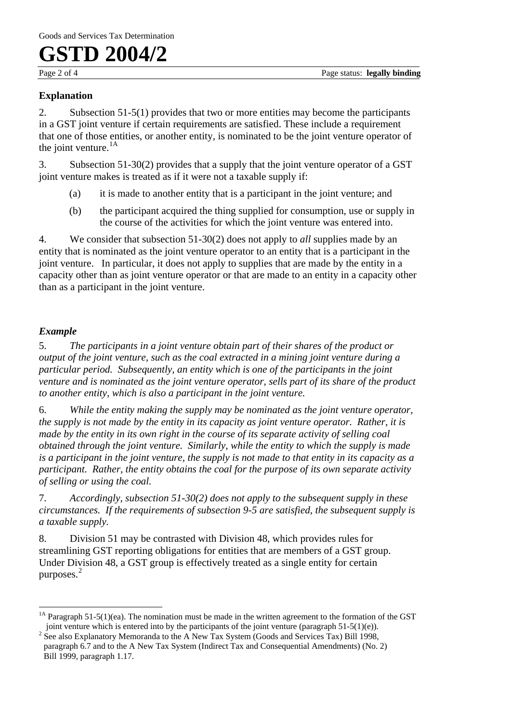**GSTD 2004/2** 

## **Explanation**

2. Subsection 51-5(1) provides that two or more entities may become the participants in a GST joint venture if certain requirements are satisfied. These include a requirement that one of those entities, or another entity, is nominated to be the joint venture operator of the joint venture. $^{1A}$ 

3. Subsection 51-30(2) provides that a supply that the joint venture operator of a GST joint venture makes is treated as if it were not a taxable supply if:

- (a) it is made to another entity that is a participant in the joint venture; and
- (b) the participant acquired the thing supplied for consumption, use or supply in the course of the activities for which the joint venture was entered into.

4. We consider that subsection 51-30(2) does not apply to *all* supplies made by an entity that is nominated as the joint venture operator to an entity that is a participant in the joint venture. In particular, it does not apply to supplies that are made by the entity in a capacity other than as joint venture operator or that are made to an entity in a capacity other than as a participant in the joint venture.

## *Example*

5. *The participants in a joint venture obtain part of their shares of the product or output of the joint venture, such as the coal extracted in a mining joint venture during a particular period. Subsequently, an entity which is one of the participants in the joint venture and is nominated as the joint venture operator, sells part of its share of the product to another entity, which is also a participant in the joint venture.* 

6. *While the entity making the supply may be nominated as the joint venture operator, the supply is not made by the entity in its capacity as joint venture operator. Rather, it is made by the entity in its own right in the course of its separate activity of selling coal obtained through the joint venture. Similarly, while the entity to which the supply is made is a participant in the joint venture, the supply is not made to that entity in its capacity as a participant. Rather, the entity obtains the coal for the purpose of its own separate activity of selling or using the coal.* 

7. *Accordingly, subsection 51-30(2) does not apply to the subsequent supply in these circumstances. If the requirements of subsection 9-5 are satisfied, the subsequent supply is a taxable supply.* 

8. Division 51 may be contrasted with Division 48, which provides rules for streamlining GST reporting obligations for entities that are members of a GST group. Under Division 48, a GST group is effectively treated as a single entity for certain purposes. 2

<sup>&</sup>lt;u>.</u> <sup>1A</sup> Paragraph 51-5(1)(ea). The nomination must be made in the written agreement to the formation of the GST joint venture which is entered into by the participants of the joint venture (paragraph  $51-5(1)(e)$ ).

<sup>&</sup>lt;sup>2</sup> See also Explanatory Memoranda to the A New Tax System (Goods and Services Tax) Bill 1998, paragraph 6.7 and to the A New Tax System (Indirect Tax and Consequential Amendments) (No. 2) Bill 1999, paragraph 1.17.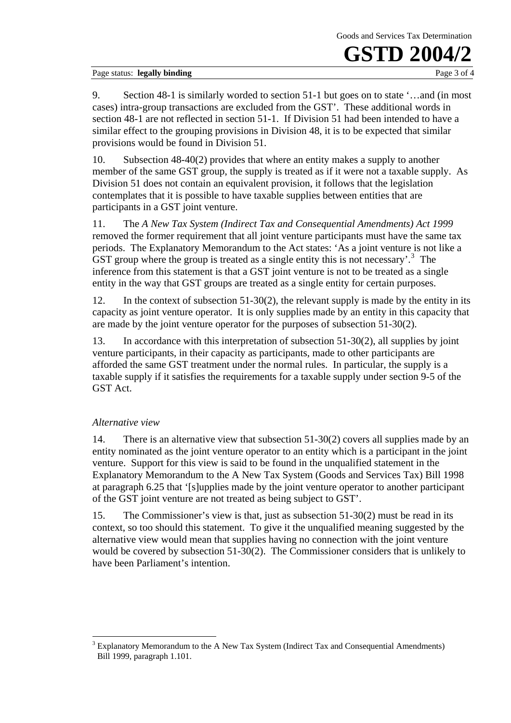Goods and Services Tax Determination

# **GSTD 2004**

Page status: **legally binding** Page 3 of 4

9. Section 48-1 is similarly worded to section 51-1 but goes on to state '…and (in most cases) intra-group transactions are excluded from the GST'. These additional words in section 48-1 are not reflected in section 51-1. If Division 51 had been intended to have a similar effect to the grouping provisions in Division 48, it is to be expected that similar provisions would be found in Division 51.

10. Subsection 48-40(2) provides that where an entity makes a supply to another member of the same GST group, the supply is treated as if it were not a taxable supply. As Division 51 does not contain an equivalent provision, it follows that the legislation contemplates that it is possible to have taxable supplies between entities that are participants in a GST joint venture.

11. The *A New Tax System (Indirect Tax and Consequential Amendments) Act 1999* removed the former requirement that all joint venture participants must have the same tax periods. The Explanatory Memorandum to the Act states: 'As a joint venture is not like a GST group where the group is treated as a single entity this is not necessary'.<sup>3</sup> The inference from this statement is that a GST joint venture is not to be treated as a single entity in the way that GST groups are treated as a single entity for certain purposes.

12. In the context of subsection 51-30(2), the relevant supply is made by the entity in its capacity as joint venture operator. It is only supplies made by an entity in this capacity that are made by the joint venture operator for the purposes of subsection 51-30(2).

13. In accordance with this interpretation of subsection 51-30(2), all supplies by joint venture participants, in their capacity as participants, made to other participants are afforded the same GST treatment under the normal rules. In particular, the supply is a taxable supply if it satisfies the requirements for a taxable supply under section 9-5 of the GST Act.

### *Alternative view*

 $\overline{a}$ 

14. There is an alternative view that subsection 51-30(2) covers all supplies made by an entity nominated as the joint venture operator to an entity which is a participant in the joint venture. Support for this view is said to be found in the unqualified statement in the Explanatory Memorandum to the A New Tax System (Goods and Services Tax) Bill 1998 at paragraph 6.25 that '[s]upplies made by the joint venture operator to another participant of the GST joint venture are not treated as being subject to GST'.

15. The Commissioner's view is that, just as subsection 51-30(2) must be read in its context, so too should this statement. To give it the unqualified meaning suggested by the alternative view would mean that supplies having no connection with the joint venture would be covered by subsection 51-30(2). The Commissioner considers that is unlikely to have been Parliament's intention.

 $3$  Explanatory Memorandum to the A New Tax System (Indirect Tax and Consequential Amendments) Bill 1999, paragraph 1.101.